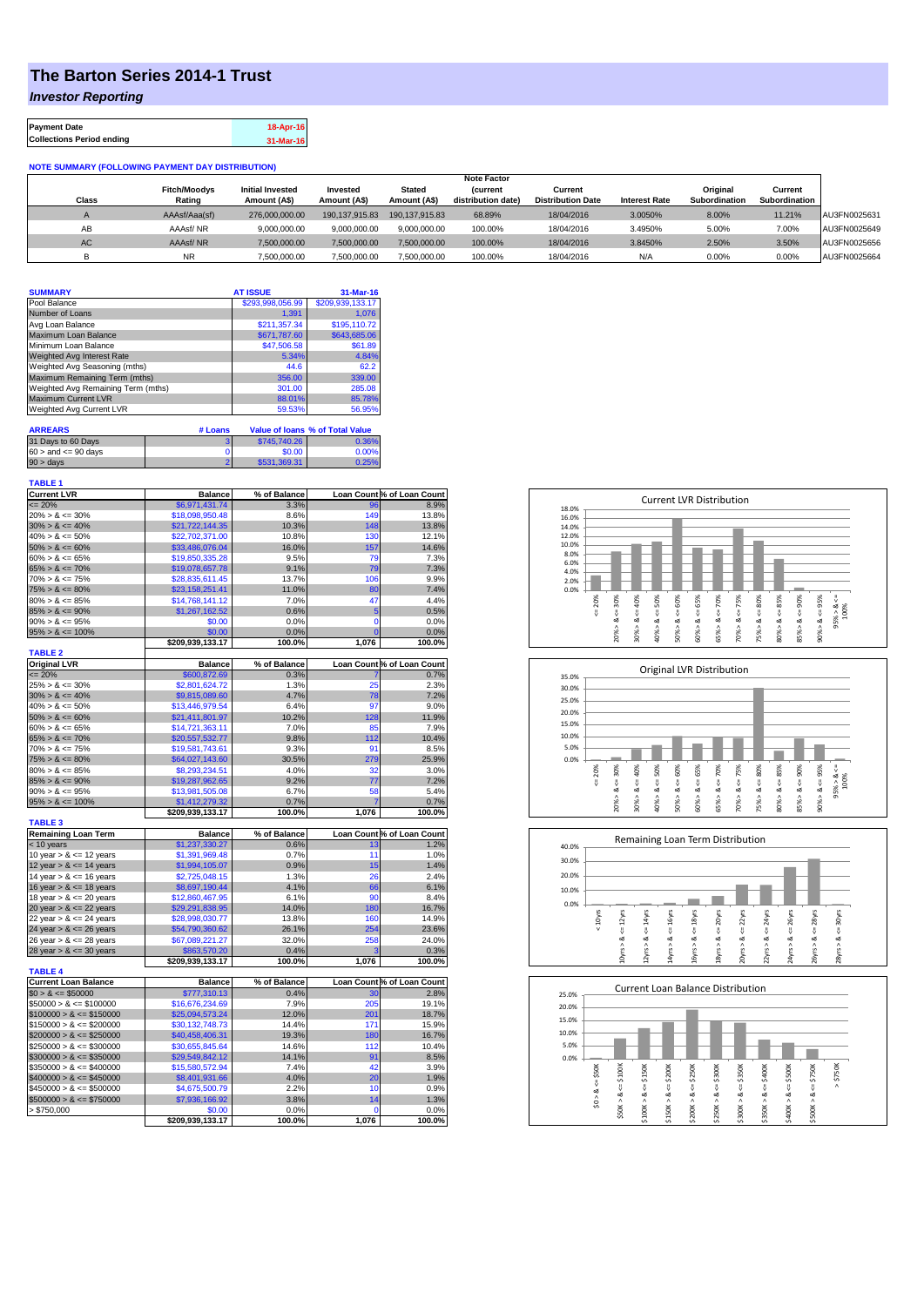## **The Barton Series 2014-1 Trust**

*Investor Reporting*

| <b>Payment Date</b>              | 18-Apr-16 |
|----------------------------------|-----------|
| <b>Collections Period ending</b> | 31-Mar-16 |

## **NOTE SUMMARY (FOLLOWING PAYMENT DAY DISTRIBUTION)**

|              |                     |                         |                |                | <b>Note Factor</b> |                          |                      |               |               |              |
|--------------|---------------------|-------------------------|----------------|----------------|--------------------|--------------------------|----------------------|---------------|---------------|--------------|
|              | <b>Fitch/Moodys</b> | <b>Initial Invested</b> | Invested       | Stated         | <b>Current</b>     | Current                  |                      | Original      | Current       |              |
| <b>Class</b> | Rating              | Amount (A\$)            | Amount (A\$)   | Amount (A\$)   | distribution date) | <b>Distribution Date</b> | <b>Interest Rate</b> | Subordination | Subordination |              |
|              | AAAsf/Aaa(sf)       | 276,000,000,00          | 190.137.915.83 | 190.137.915.83 | 68.89%             | 18/04/2016               | 3.0050%              | 8.00%         | 11.21%        | AU3FN0025631 |
| AB           | AAAsf/NR            | 9,000,000.00            | 9.000.000.00   | 9.000.000.00   | 100.00%            | 18/04/2016               | 3.4950%              | 5.00%         | 7.00%         | AU3FN0025649 |
| AC.          | AAAsf/NR            | 7,500,000.00            | 7.500.000.00   | 7.500.000.00   | 100.00%            | 18/04/2016               | 3.8450%              | 2.50%         | 3.50%         | AU3FN0025656 |
|              | <b>NR</b>           | ,500,000.00             | 7.500.000.00   | 7,500,000.00   | 100.00%            | 18/04/2016               | N/A                  | 0.00%         | 0.00%         | AU3FN0025664 |

| <b>SUMMARY</b>                     |         | <b>AT ISSUE</b>  | 31-Mar-16                       |
|------------------------------------|---------|------------------|---------------------------------|
| Pool Balance                       |         | \$293,998,056.99 | \$209,939,133.17                |
| Number of Loans                    |         | 1.391            | 1.076                           |
| Avg Loan Balance                   |         | \$211.357.34     | \$195,110.72                    |
| Maximum Loan Balance               |         | \$671,787.60     | \$643,685.06                    |
| Minimum Loan Balance               |         | \$47,506.58      | \$61.89                         |
| <b>Weighted Avg Interest Rate</b>  |         | 5.34%            | 4.84%                           |
| Weighted Avg Seasoning (mths)      |         | 44.6             | 62.2                            |
| Maximum Remaining Term (mths)      |         | 356.00           | 339.00                          |
| Weighted Avg Remaining Term (mths) |         | 301.00           | 285.08                          |
| <b>Maximum Current LVR</b>         |         | 88.01%           | 85.78%                          |
| Weighted Avg Current LVR           |         | 59.53%           | 56.95%                          |
| <b>ARREARS</b>                     | # Loans |                  | Value of Ioans % of Total Value |

| 31 Days to 60 Days        | \$745,740.26 | 0.36% |
|---------------------------|--------------|-------|
| $60 >$ and $\leq 90$ days | \$0.00       | 0.00% |
| $90 > \text{days}$        | \$531.369.31 | 0.25% |

| <b>TABLE 1</b>                                |                                  |              |                |                            |
|-----------------------------------------------|----------------------------------|--------------|----------------|----------------------------|
| <b>Current LVR</b>                            | <b>Balance</b>                   | % of Balance |                | Loan Count % of Loan Count |
| $= 20%$                                       | \$6,971,431.74                   | 3.3%         | 96             | 8.9%                       |
| $20\% > 8 \le 30\%$                           | \$18,098,950.48                  | 8.6%         | 149            | 13.8%                      |
| $30\% > 8 \le 40\%$                           | \$21,722,144.35                  | 10.3%        | 148            | 13.8%                      |
| $40\% > 8 \le 50\%$                           | \$22,702,371.00                  | 10.8%        | 130            | 12.1%                      |
| $50\% > 8 \le 60\%$                           | \$33,486,076.04                  | 16.0%        | 157            | 14.6%                      |
| $60\% > 8 \le 65\%$                           | \$19,850,335.28                  | 9.5%         | 79             | 7.3%                       |
| $65\% > 8 \le 70\%$                           | \$19,078,657.78                  | 9.1%         | 79             | 7.3%                       |
| $70\% > 8 \le 75\%$                           | \$28,835,611.45                  | 13.7%        | 106            | 9.9%                       |
| $75\% > 8 \le 80\%$                           | \$23,158,251.41                  | 11.0%        | 80             | 7.4%                       |
| $80\% > 8 \le 85\%$                           | \$14,768,141.12                  | 7.0%         | 47             | 4.4%                       |
| $85\% > 8 \le 90\%$                           | \$1,267,162.52                   | 0.6%         | 5              | 0.5%                       |
| $90\% > 8 \le 95\%$                           | \$0.00                           | 0.0%         | $\mathbf 0$    | 0.0%                       |
| $95\% > 8 \le 100\%$                          | \$0.00                           | 0.0%         | $\overline{0}$ | 0.0%                       |
| <b>TABLE 2</b>                                | \$209,939,133.17                 | 100.0%       | 1,076          | 100.0%                     |
| <b>Original LVR</b>                           | <b>Balance</b>                   | % of Balance |                | Loan Count % of Loan Count |
| $\leq$ 20%                                    | \$600,872.69                     | 0.3%         |                | 0.7%                       |
| $25\% > 8 \le 30\%$                           | \$2,801,624.72                   | 1.3%         | 25             | 2.3%                       |
| $30\% > 8 \le 40\%$                           | \$9,815,089.60                   | 4.7%         | 78             | 7.2%                       |
| $40\% > 8 \le 50\%$                           | \$13,446,979.54                  | 6.4%         | 97             | 9.0%                       |
| $50\% > 8 \le 60\%$                           | \$21,411,801.97                  | 10.2%        | 128            | 11.9%                      |
| $60\% > 8 \le 65\%$                           | \$14,721,363.11                  | 7.0%         | 85             | 7.9%                       |
| $65\% > 8 \le 70\%$                           | \$20,557,532.77                  | 9.8%         | 112            | 10.4%                      |
| $70\% > 8 \le 75\%$                           | \$19,581,743.61                  | 9.3%         | 91             | 8.5%                       |
| $75\% > 8 \le 80\%$                           | \$64,027,143.60                  | 30.5%        | 279            | 25.9%                      |
| $80\% > 8 \le 85\%$                           | \$8,293,234.51                   | 4.0%         | 32             | 3.0%                       |
| $85\% > 8 \le 90\%$                           | \$19,287,962.65                  | 9.2%         | 77             | 7.2%                       |
| $90\% > 8 \le 95\%$                           | \$13,981,505.08                  | 6.7%         | 58             | 5.4%                       |
| $95\% > 8 \le 100\%$                          | \$1,412,279.32                   | 0.7%         | 7              | 0.7%                       |
|                                               | \$209,939,133.17                 | 100.0%       | 1,076          | 100.0%                     |
| <b>TABLE 3</b>                                |                                  |              |                |                            |
| <b>Remaining Loan Term</b>                    | <b>Balance</b>                   | % of Balance |                | Loan Count % of Loan Count |
| < 10 years                                    | \$1,237,330.27                   | 0.6%         | 13             | 1.2%                       |
| 10 year $> 8 \le 12$ years                    | \$1,391,969.48                   | 0.7%         | 11             | 1.0%                       |
| 12 year $> 8 \le 14$ years                    | \$1,994,105.07                   | 0.9%         | 15             | 1.4%                       |
| 14 year $> 8 \le 16$ years                    | \$2,725,048.15                   | 1.3%         | 26             | 2.4%                       |
| 16 year $> 8 \le 18$ years                    | \$8,697,190.44                   | 4.1%         | 66             | 6.1%                       |
| 18 year $> 8 \le 20$ years                    | \$12,860,467.95                  | 6.1%         | 90             | 8.4%                       |
| 20 year $> 8 \le 22$ years                    | \$29,291,838.95                  | 14.0%        | 180            | 16.7%                      |
| 22 year $> 8 \le 24$ years                    | \$28,998,030.77                  | 13.8%        | 160            | 14.9%                      |
| 24 year $> 8 \le 26$ years                    | \$54,790,360.62                  | 26.1%        | 254            | 23.6%                      |
| 26 year > & <= 28 years                       | \$67,089,221.27                  | 32.0%        | 258            | 24.0%                      |
| 28 year $> 8 \le 30$ years                    | \$863,570.20                     | 0.4%         | 3              | 0.3%                       |
|                                               | \$209,939,133.17                 | 100.0%       | 1,076          | 100.0%                     |
| <b>TABLE 4</b><br><b>Current Loan Balance</b> | <b>Balance</b>                   | % of Balance |                | Loan Count % of Loan Count |
| $$0 > 8 \le $50000$                           | \$777,310.13                     | 0.4%         | 30             | 2.8%                       |
| $$50000 > 8 \le $100000$                      | \$16,676,234.69                  | 7.9%         | 205            | 19.1%                      |
| $$100000 > 8 \leq $150000$                    | \$25,094,573.24                  | 12.0%        | 201            | 18.7%                      |
| $$150000 > 8 \leq $200000$                    | \$30,132,748.73                  | 14.4%        | 171            | 15.9%                      |
| $$200000 > 8 \leq $250000$                    | \$40,458,406.31                  | 19.3%        | 180            | 16.7%                      |
| $$250000 > 8 \leq $300000$                    | \$30,655,845.64                  | 14.6%        | 112            | 10.4%                      |
| $$300000 > 8 \leq $350000$                    | \$29,549,842.12                  | 14.1%        | 91             | 8.5%                       |
| $$350000 > 8 \leq $400000$                    |                                  | 7.4%         | 42             | 3.9%                       |
| $$400000 > 8 \leq $450000$                    | \$15,580,572.94                  | 4.0%         | 20             | 1.9%                       |
| $$450000 > 8 \le $500000$                     | \$8,401,931.66<br>\$4,675,500.79 | 2.2%         | 10             | 0.9%                       |
| $$500000 > 8 \leq $750000$                    | \$7,936,166.92                   | 3.8%         | 14             | 1.3%                       |
| > \$750,000                                   | \$0.00                           | 0.0%         | 0              | 0.0%                       |
|                                               | \$209,939,133.17                 | 100.0%       | 1,076          | 100.0%                     |
|                                               |                                  |              |                |                            |